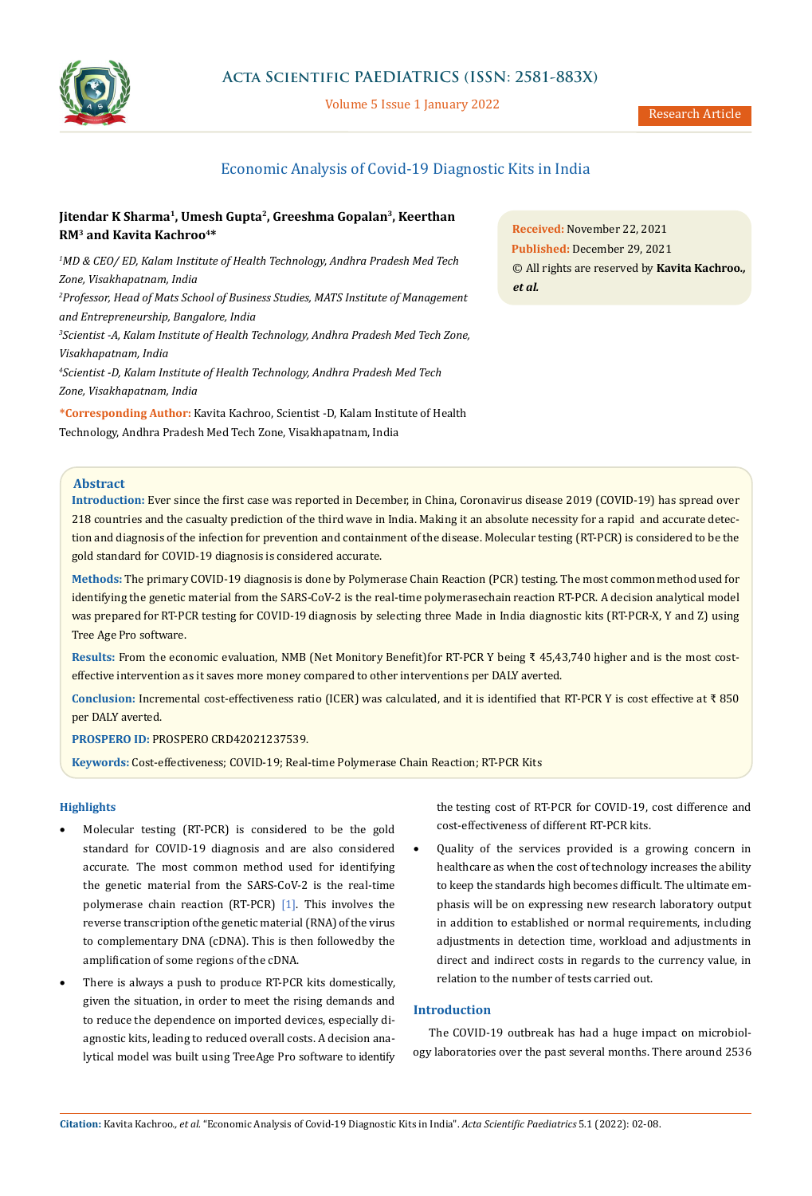

# **Acta Scientific PAEDIATRICS (ISSN: 2581-883X)**

Volume 5 Issue 1 January 2022

# Economic Analysis of Covid-19 Diagnostic Kits in India

# Jitendar K Sharma<sup>1</sup>, Umesh Gupta<sup>2</sup>, Greeshma Gopalan<sup>3</sup>, Keerthan **RM3 and Kavita Kachroo4\***

*1 MD & CEO/ ED, Kalam Institute of Health Technology, Andhra Pradesh Med Tech Zone, Visakhapatnam, India 2 Professor, Head of Mats School of Business Studies, MATS Institute of Management and Entrepreneurship, Bangalore, India 3 Scientist -A, Kalam Institute of Health Technology, Andhra Pradesh Med Tech Zone, Visakhapatnam, India 4 Scientist -D, Kalam Institute of Health Technology, Andhra Pradesh Med Tech Zone, Visakhapatnam, India*

**\*Corresponding Author:** Kavita Kachroo, Scientist -D, Kalam Institute of Health Technology, Andhra Pradesh Med Tech Zone, Visakhapatnam, India

**Received:** November 22, 2021 **Published:** December 29, 2021 © All rights are reserved by **Kavita Kachroo***., et al.*

# **Abstract**

**Introduction:** Ever since the first case was reported in December, in China, Coronavirus disease 2019 (COVID-19) has spread over 218 countries and the casualty prediction of the third wave in India. Making it an absolute necessity for a rapid and accurate detection and diagnosis of the infection for prevention and containment of the disease. Molecular testing (RT-PCR) is considered to be the gold standard for COVID-19 diagnosis is considered accurate.

**Methods:** The primary COVID-19 diagnosis is done by Polymerase Chain Reaction (PCR) testing. The most common method used for identifying the genetic material from the SARS-CoV-2 is the real-time polymerasechain reaction RT-PCR. A decision analytical model was prepared for RT-PCR testing for COVID-19 diagnosis by selecting three Made in India diagnostic kits (RT-PCR-X, Y and Z) using Tree Age Pro software.

**Results:** From the economic evaluation, NMB (Net Monitory Benefit) for RT-PCR Y being ₹ 45,43,740 higher and is the most costeffective intervention as it saves more money compared to other interventions per DALY averted.

**Conclusion:** Incremental cost-effectiveness ratio (ICER) was calculated, and it is identified that RT-PCR Y is cost effective at ₹ 850 per DALY averted.

**PROSPERO ID:** PROSPERO CRD42021237539.

**Keywords:** Cost-effectiveness; COVID-19; Real-time Polymerase Chain Reaction; RT-PCR Kits

## **Highlights**

- Molecular testing (RT-PCR) is considered to be the gold standard for COVID-19 diagnosis and are also considered accurate. The most common method used for identifying the genetic material from the SARS-CoV-2 is the real-time polymerase chain reaction (RT-PCR) [1]. This involves the reverse transcription of the genetic material (RNA) of the virus to complementary DNA (cDNA). This is then followed by the amplification of some regions of the cDNA.
- • There is always a push to produce RT-PCR kits domestically, given the situation, in order to meet the rising demands and to reduce the dependence on imported devices, especially diagnostic kits, leading to reduced overall costs. A decision analytical model was built using TreeAge Pro software to identify

the testing cost of RT-PCR for COVID-19, cost difference and cost-effectiveness of different RT-PCR kits.

Quality of the services provided is a growing concern in healthcare as when the cost of technology increases the ability to keep the standards high becomes difficult. The ultimate emphasis will be on expressing new research laboratory output in addition to established or normal requirements, including adjustments in detection time, workload and adjustments in direct and indirect costs in regards to the currency value, in relation to the number of tests carried out.

## **Introduction**

The COVID-19 outbreak has had a huge impact on microbiology laboratories over the past several months. There around 2536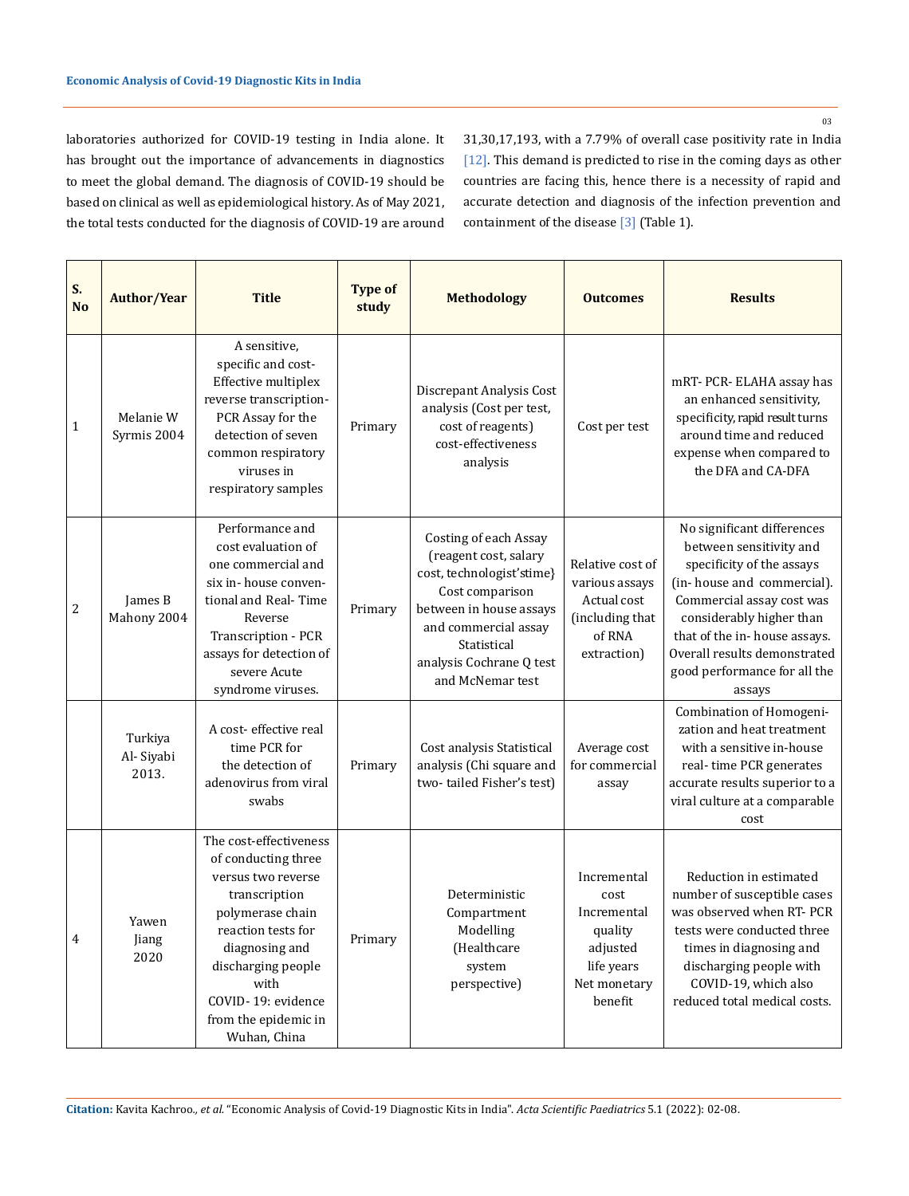03

laboratories authorized for COVID-19 testing in India alone. It has brought out the importance of advancements in diagnostics to meet the global demand. The diagnosis of COVID-19 should be based on clinical as well as epidemiological history. As of May 2021, the total tests conducted for the diagnosis of COVID-19 are around 31,30,17,193, with a 7.79% of overall case positivity rate in India [12]. This demand is predicted to rise in the coming days as other countries are facing this, hence there is a necessity of rapid and accurate detection and diagnosis of the infection prevention and containment of the disease [3] (Table 1).

| S.<br><b>No</b> | <b>Author/Year</b>            | <b>Title</b>                                                                                                                                                                                                                                 | <b>Type of</b><br>study | <b>Methodology</b>                                                                                                                                                                                               | <b>Outcomes</b>                                                                                    | <b>Results</b>                                                                                                                                                                                                                                                                      |
|-----------------|-------------------------------|----------------------------------------------------------------------------------------------------------------------------------------------------------------------------------------------------------------------------------------------|-------------------------|------------------------------------------------------------------------------------------------------------------------------------------------------------------------------------------------------------------|----------------------------------------------------------------------------------------------------|-------------------------------------------------------------------------------------------------------------------------------------------------------------------------------------------------------------------------------------------------------------------------------------|
| 1               | Melanie W<br>Syrmis 2004      | A sensitive,<br>specific and cost-<br>Effective multiplex<br>reverse transcription-<br>PCR Assay for the<br>detection of seven<br>common respiratory<br>viruses in<br>respiratory samples                                                    | Primary                 | Discrepant Analysis Cost<br>analysis (Cost per test,<br>cost of reagents)<br>cost-effectiveness<br>analysis                                                                                                      | Cost per test                                                                                      | mRT- PCR- ELAHA assay has<br>an enhanced sensitivity,<br>specificity, rapid result turns<br>around time and reduced<br>expense when compared to<br>the DFA and CA-DFA                                                                                                               |
| $\overline{c}$  | James B<br>Mahony 2004        | Performance and<br>cost evaluation of<br>one commercial and<br>six in-house conven-<br>tional and Real-Time<br>Reverse<br>Transcription - PCR<br>assays for detection of<br>severe Acute<br>syndrome viruses.                                | Primary                 | Costing of each Assay<br>(reagent cost, salary<br>cost, technologist'stime}<br>Cost comparison<br>between in house assays<br>and commercial assay<br>Statistical<br>analysis Cochrane Q test<br>and McNemar test | Relative cost of<br>various assays<br>Actual cost<br>(including that<br>of RNA<br>extraction)      | No significant differences<br>between sensitivity and<br>specificity of the assays<br>(in-house and commercial).<br>Commercial assay cost was<br>considerably higher than<br>that of the in-house assays.<br>Overall results demonstrated<br>good performance for all the<br>assays |
|                 | Turkiya<br>Al-Siyabi<br>2013. | A cost-effective real<br>time PCR for<br>the detection of<br>adenovirus from viral<br>swabs                                                                                                                                                  | Primary                 | Cost analysis Statistical<br>analysis (Chi square and<br>two-tailed Fisher's test)                                                                                                                               | Average cost<br>for commercial<br>assay                                                            | Combination of Homogeni-<br>zation and heat treatment<br>with a sensitive in-house<br>real-time PCR generates<br>accurate results superior to a<br>viral culture at a comparable<br>cost                                                                                            |
| $\overline{4}$  | Yawen<br>Jiang<br>2020        | The cost-effectiveness<br>of conducting three<br>versus two reverse<br>transcription<br>polymerase chain<br>reaction tests for<br>diagnosing and<br>discharging people<br>with<br>COVID-19: evidence<br>from the epidemic in<br>Wuhan, China | Primary                 | Deterministic<br>Compartment<br>Modelling<br>(Healthcare<br>system<br>perspective)                                                                                                                               | Incremental<br>cost<br>Incremental<br>quality<br>adjusted<br>life years<br>Net monetary<br>benefit | Reduction in estimated<br>number of susceptible cases<br>was observed when RT- PCR<br>tests were conducted three<br>times in diagnosing and<br>discharging people with<br>COVID-19, which also<br>reduced total medical costs.                                                      |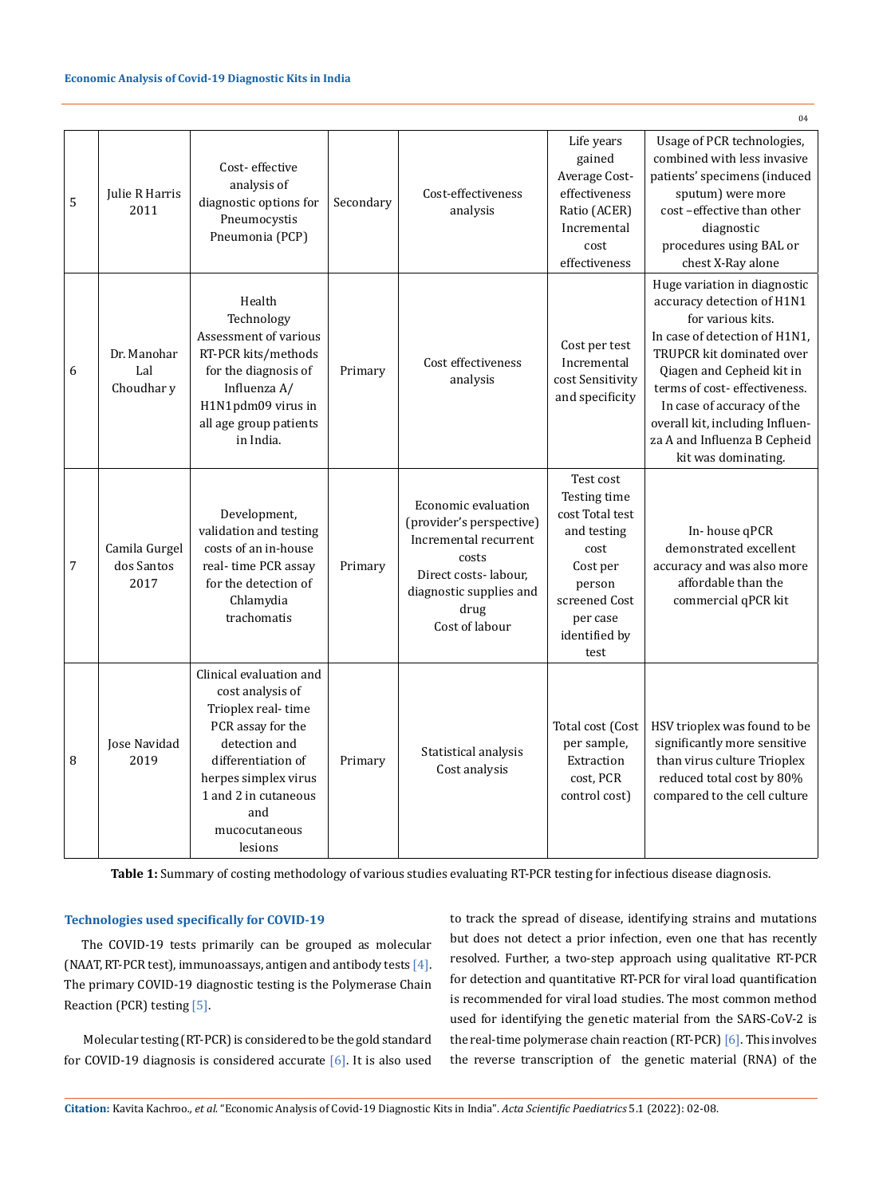### **Economic Analysis of Covid-19 Diagnostic Kits in India**

| 5 | Julie R Harris<br>2011              | Cost-effective<br>analysis of<br>diagnostic options for<br>Pneumocystis<br>Pneumonia (PCP)                                                                                                                       | Secondary | Cost-effectiveness<br>analysis                                                                                                                                 | Life years<br>gained<br>Average Cost-<br>effectiveness<br>Ratio (ACER)<br>Incremental<br>cost<br>effectiveness                                  | Usage of PCR technologies,<br>combined with less invasive<br>patients' specimens (induced<br>sputum) were more<br>cost-effective than other<br>diagnostic<br>procedures using BAL or<br>chest X-Ray alone                                                                                                                          |
|---|-------------------------------------|------------------------------------------------------------------------------------------------------------------------------------------------------------------------------------------------------------------|-----------|----------------------------------------------------------------------------------------------------------------------------------------------------------------|-------------------------------------------------------------------------------------------------------------------------------------------------|------------------------------------------------------------------------------------------------------------------------------------------------------------------------------------------------------------------------------------------------------------------------------------------------------------------------------------|
| 6 | Dr. Manohar<br>Lal<br>Choudhar y    | Health<br>Technology<br>Assessment of various<br>RT-PCR kits/methods<br>for the diagnosis of<br>Influenza A/<br>H1N1pdm09 virus in<br>all age group patients<br>in India.                                        | Primary   | Cost effectiveness<br>analysis                                                                                                                                 | Cost per test<br>Incremental<br>cost Sensitivity<br>and specificity                                                                             | Huge variation in diagnostic<br>accuracy detection of H1N1<br>for various kits.<br>In case of detection of H1N1,<br>TRUPCR kit dominated over<br>Qiagen and Cepheid kit in<br>terms of cost-effectiveness.<br>In case of accuracy of the<br>overall kit, including Influen-<br>za A and Influenza B Cepheid<br>kit was dominating. |
| 7 | Camila Gurgel<br>dos Santos<br>2017 | Development,<br>validation and testing<br>costs of an in-house<br>real-time PCR assay<br>for the detection of<br>Chlamydia<br>trachomatis                                                                        | Primary   | Economic evaluation<br>(provider's perspective)<br>Incremental recurrent<br>costs<br>Direct costs-labour,<br>diagnostic supplies and<br>drug<br>Cost of labour | Test cost<br>Testing time<br>cost Total test<br>and testing<br>cost<br>Cost per<br>person<br>screened Cost<br>per case<br>identified by<br>test | In-house qPCR<br>demonstrated excellent<br>accuracy and was also more<br>affordable than the<br>commercial qPCR kit                                                                                                                                                                                                                |
| 8 | Jose Navidad<br>2019                | Clinical evaluation and<br>cost analysis of<br>Trioplex real-time<br>PCR assay for the<br>detection and<br>differentiation of<br>herpes simplex virus<br>1 and 2 in cutaneous<br>and<br>mucocutaneous<br>lesions | Primary   | Statistical analysis<br>Cost analysis                                                                                                                          | Total cost (Cost<br>per sample,<br>Extraction<br>cost, PCR<br>control cost)                                                                     | HSV trioplex was found to be<br>significantly more sensitive<br>than virus culture Trioplex<br>reduced total cost by 80%<br>compared to the cell culture                                                                                                                                                                           |

**Table 1:** Summary of costing methodology of various studies evaluating RT-PCR testing for infectious disease diagnosis.

## **Technologies used specifically for COVID-19**

The COVID-19 tests primarily can be grouped as molecular (NAAT, RT-PCR test), immunoassays, antigen and antibody tests [4]. The primary COVID-19 diagnostic testing is the Polymerase Chain Reaction (PCR) testing [5].

 Molecular testing (RT-PCR) is considered to be the gold standard for COVID-19 diagnosis is considered accurate [6]. It is also used to track the spread of disease, identifying strains and mutations but does not detect a prior infection, even one that has recently resolved. Further, a two-step approach using qualitative RT-PCR for detection and quantitative RT-PCR for viral load quantification is recommended for viral load studies. The most common method used for identifying the genetic material from the SARS-CoV-2 is the real-time polymerase chain reaction (RT-PCR) [6]. This involves the reverse transcription of the genetic material (RNA) of the

 $04$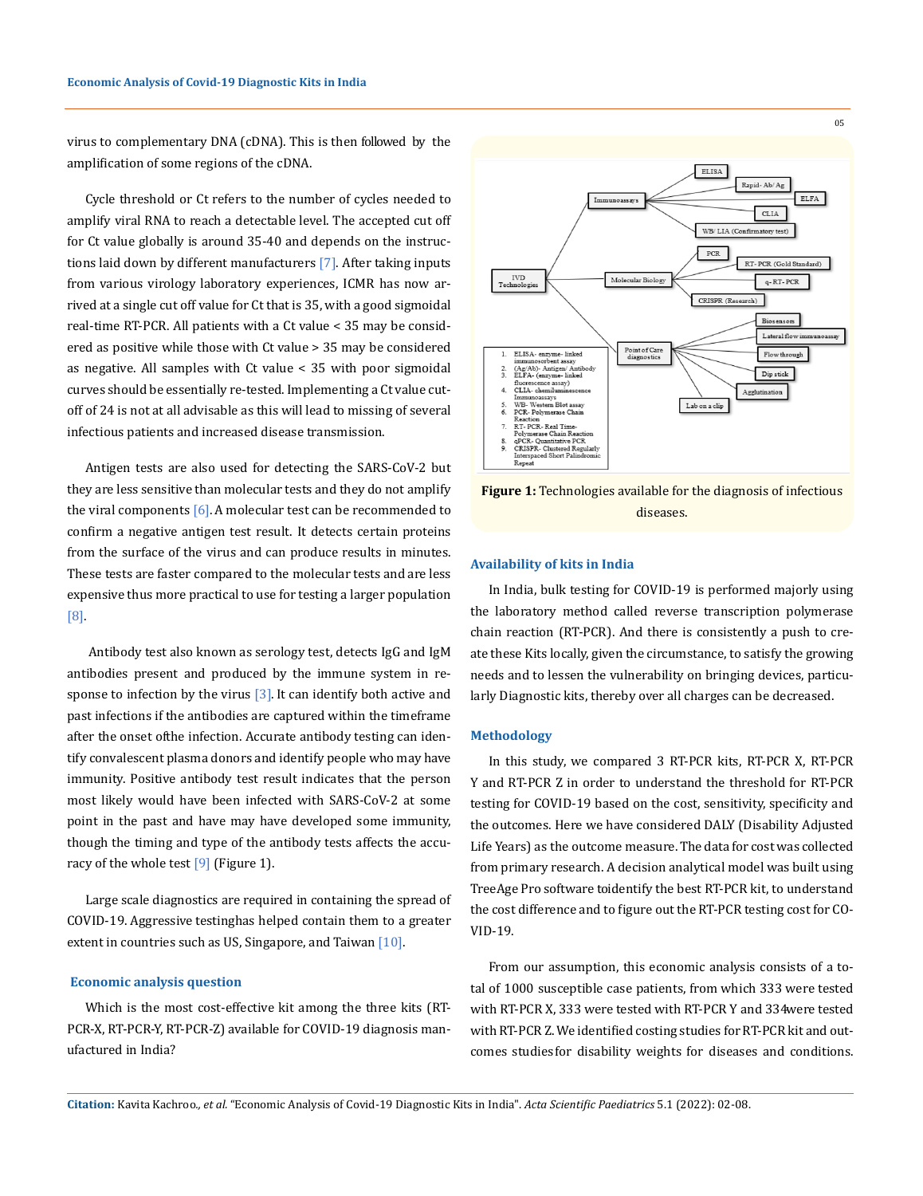virus to complementary DNA (cDNA). This is then followed by the amplification of some regions of the cDNA.

Cycle threshold or Ct refers to the number of cycles needed to amplify viral RNA to reach a detectable level. The accepted cut off for Ct value globally is around 35-40 and depends on the instructions laid down by different manufacturers [7]. After taking inputs from various virology laboratory experiences, ICMR has now arrived at a single cut off value for Ct that is 35, with a good sigmoidal real-time RT-PCR. All patients with a Ct value < 35 may be considered as positive while those with Ct value > 35 may be considered as negative. All samples with Ct value < 35 with poor sigmoidal curves should be essentially re-tested. Implementing a Ct value cutoff of 24 is not at all advisable as this will lead to missing of several infectious patients and increased disease transmission.

Antigen tests are also used for detecting the SARS-CoV-2 but they are less sensitive than molecular tests and they do not amplify the viral components  $[6]$ . A molecular test can be recommended to confirm a negative antigen test result. It detects certain proteins from the surface of the virus and can produce results in minutes. These tests are faster compared to the molecular tests and are less expensive thus more practical to use for testing a larger population [8].

 Antibody test also known as serology test, detects IgG and IgM antibodies present and produced by the immune system in response to infection by the virus  $[3]$ . It can identify both active and past infections if the antibodies are captured within the timeframe after the onset of the infection. Accurate antibody testing can identify convalescent plasma donors and identify people who may have immunity. Positive antibody test result indicates that the person most likely would have been infected with SARS-CoV-2 at some point in the past and have may have developed some immunity, though the timing and type of the antibody tests affects the accuracy of the whole test  $[9]$  (Figure 1).

Large scale diagnostics are required in containing the spread of COVID-19. Aggressive testinghas helped contain them to a greater extent in countries such as US, Singapore, and Taiwan [10].

## **Economic analysis question**

Which is the most cost-effective kit among the three kits (RT-PCR-X, RT-PCR-Y, RT-PCR-Z) available for COVID-19 diagnosis manufactured in India?



**Figure 1:** Technologies available for the diagnosis of infectious diseases.

#### **Availability of kits in India**

In India, bulk testing for COVID-19 is performed majorly using the laboratory method called reverse transcription polymerase chain reaction (RT-PCR). And there is consistently a push to create these Kits locally, given the circumstance, to satisfy the growing needs and to lessen the vulnerability on bringing devices, particularly Diagnostic kits, thereby over all charges can be decreased.

#### **Methodology**

In this study, we compared 3 RT-PCR kits, RT-PCR X, RT-PCR Y and RT-PCR Z in order to understand the threshold for RT-PCR testing for COVID-19 based on the cost, sensitivity, specificity and the outcomes. Here we have considered DALY (Disability Adjusted Life Years) as the outcome measure. The data for cost was collected from primary research. A decision analytical model was built using TreeAge Pro software toidentify the best RT-PCR kit, to understand the cost difference and to figure out the RT-PCR testing cost for CO-VID-19.

From our assumption, this economic analysis consists of a total of 1000 susceptible case patients, from which 333 were tested with RT-PCR X, 333 were tested with RT-PCR Y and 334 were tested with RT-PCR Z. We identified costing studies for RT-PCR kit and outcomes studies for disability weights for diseases and conditions.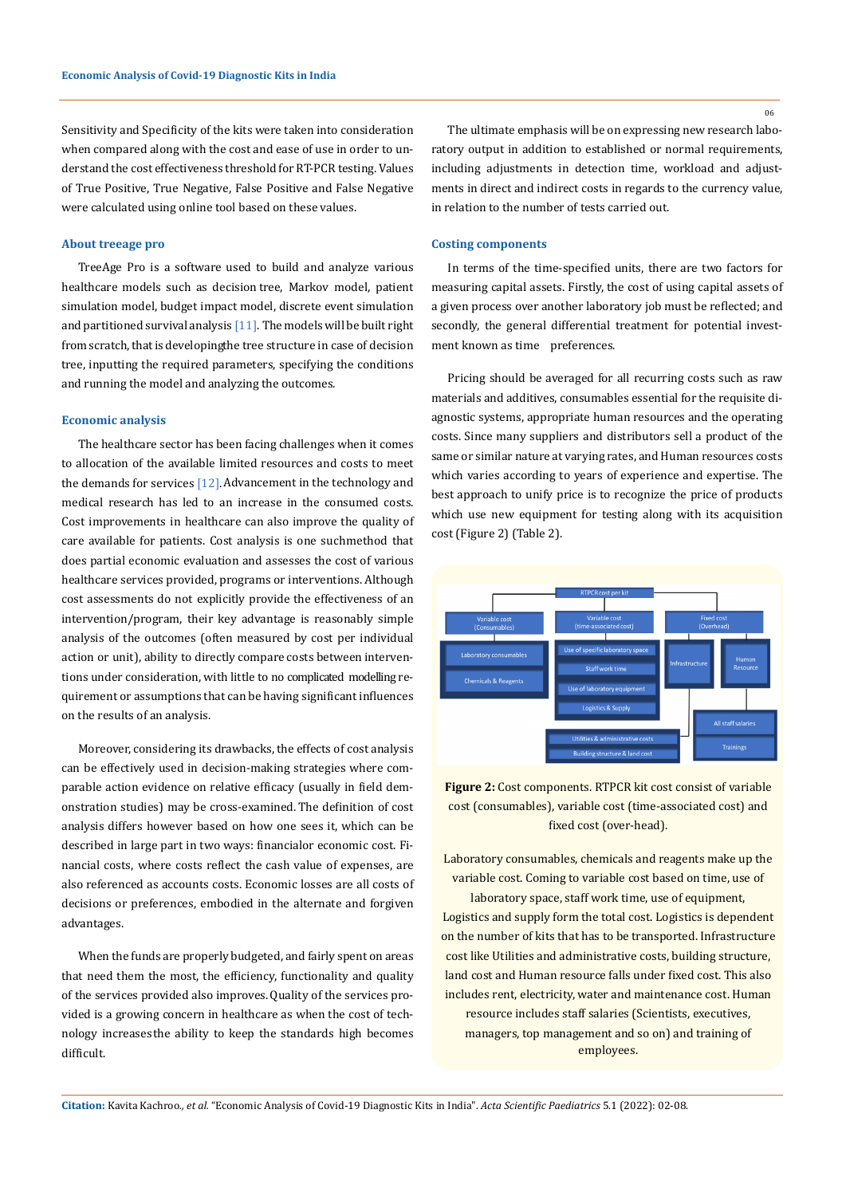Sensitivity and Specificity of the kits were taken into consideration when compared along with the cost and ease of use in order to understand the cost effectiveness threshold for RT-PCR testing. Values of True Positive, True Negative, False Positive and False Negative were calculated using online tool based on these values.

## **About treeage pro**

TreeAge Pro is a software used to build and analyze various healthcare models such as decision tree, Markov model, patient simulation model, budget impact model, discrete event simulation and partitioned survival analysis  $[11]$ . The models will be built right from scratch, that is developing the tree structure in case of decision tree, inputting the required parameters, specifying the conditions and running the model and analyzing the outcomes.

#### **Economic analysis**

The healthcare sector has been facing challenges when it comes to allocation of the available limited resources and costs to meet the demands for services  $[12]$ . Advancement in the technology and medical research has led to an increase in the consumed costs. Cost improvements in healthcare can also improve the quality of care available for patients. Cost analysis is one such method that does partial economic evaluation and assesses the cost of various healthcare services provided, programs or interventions. Although cost assessments do not explicitly provide the effectiveness of an intervention/program, their key advantage is reasonably simple analysis of the outcomes (often measured by cost per individual action or unit), ability to directly compare costs between interventions under consideration, with little to no complicated modelling requirement or assumptions that can be having significant influences on the results of an analysis.

Moreover, considering its drawbacks, the effects of cost analysis can be effectively used in decision-making strategies where comparable action evidence on relative efficacy (usually in field demonstration studies) may be cross-examined. The definition of cost analysis differs however based on how one sees it, which can be described in large part in two ways: financialor economic cost. Financial costs, where costs reflect the cash value of expenses, are also referenced as accounts costs. Economic losses are all costs of decisions or preferences, embodied in the alternate and forgiven advantages.

When the funds are properly budgeted, and fairly spent on areas that need them the most, the efficiency, functionality and quality of the services provided also improves.Quality of the services provided is a growing concern in healthcare as when the cost of technology increases the ability to keep the standards high becomes difficult.

The ultimate emphasis will be on expressing new research laboratory output in addition to established or normal requirements, including adjustments in detection time, workload and adjustments in direct and indirect costs in regards to the currency value, in relation to the number of tests carried out.

## **Costing components**

In terms of the time-specified units, there are two factors for measuring capital assets. Firstly, the cost of using capital assets of a given process over another laboratory job must be reflected; and secondly, the general differential treatment for potential investment known as time preferences.

Pricing should be averaged for all recurring costs such as raw materials and additives, consumables essential for the requisite diagnostic systems, appropriate human resources and the operating costs. Since many suppliers and distributors sell a product of the same or similar nature at varying rates, and Human resources costs which varies according to years of experience and expertise. The best approach to unify price is to recognize the price of products which use new equipment for testing along with its acquisition cost (Figure 2) (Table 2).



**Figure 2:** Cost components. RTPCR kit cost consist of variable cost (consumables), variable cost (time-associated cost) and fixed cost (over-head).

Laboratory consumables, chemicals and reagents make up the variable cost. Coming to variable cost based on time, use of laboratory space, staff work time, use of equipment, Logistics and supply form the total cost. Logistics is dependent on the number of kits that has to be transported. Infrastructure cost like Utilities and administrative costs, building structure, land cost and Human resource falls under fixed cost. This also includes rent, electricity, water and maintenance cost. Human resource includes staff salaries (Scientists, executives, managers, top management and so on) and training of employees.

**Citation:** Kavita Kachroo*., et al.* "Economic Analysis of Covid-19 Diagnostic Kits in India". *Acta Scientific Paediatrics* 5.1 (2022): 02-08.

06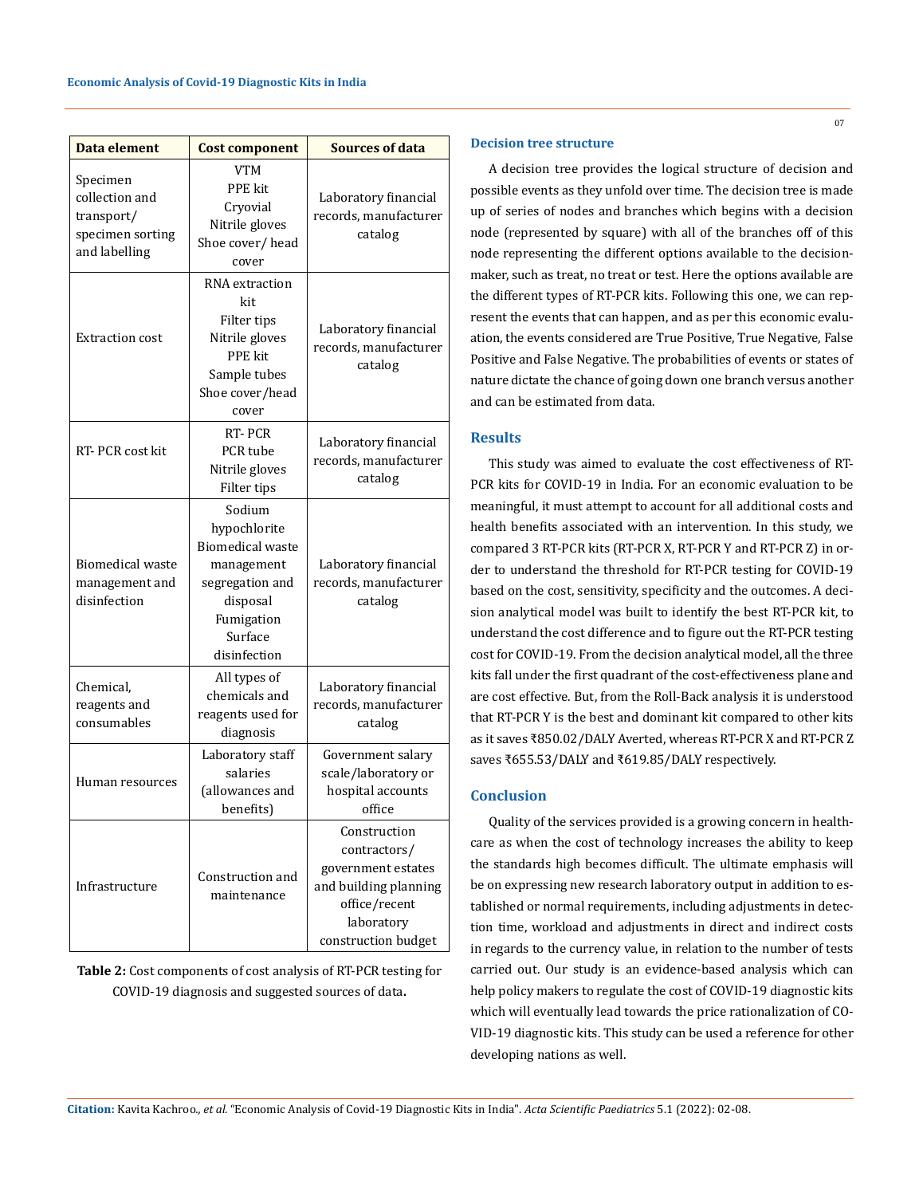| Data element                                                                  | <b>Cost component</b>                                                                                                                   | <b>Sources of data</b>                                                                                                            |  |
|-------------------------------------------------------------------------------|-----------------------------------------------------------------------------------------------------------------------------------------|-----------------------------------------------------------------------------------------------------------------------------------|--|
| Specimen<br>collection and<br>transport/<br>specimen sorting<br>and labelling | <b>VTM</b><br>PPE kit<br>Cryovial<br>Nitrile gloves<br>Shoe cover/head<br>cover                                                         | Laboratory financial<br>records, manufacturer<br>catalog                                                                          |  |
| <b>Extraction cost</b>                                                        | RNA extraction<br>kit<br>Filter tips<br>Nitrile gloves<br><b>PPE</b> kit<br>Sample tubes<br>Shoe cover/head<br>cover                    | Laboratory financial<br>records, manufacturer<br>catalog                                                                          |  |
| RT-PCR cost kit                                                               | RT-PCR<br>PCR tube<br>Nitrile gloves<br>Filter tips                                                                                     | Laboratory financial<br>records, manufacturer<br>catalog                                                                          |  |
| <b>Biomedical waste</b><br>management and<br>disinfection                     | Sodium<br>hypochlorite<br><b>Biomedical waste</b><br>management<br>segregation and<br>disposal<br>Fumigation<br>Surface<br>disinfection | Laboratory financial<br>records, manufacturer<br>catalog                                                                          |  |
| Chemical,<br>reagents and<br>consumables                                      | All types of<br>chemicals and<br>reagents used for<br>diagnosis                                                                         | Laboratory financial<br>records, manufacturer<br>catalog                                                                          |  |
| Human resources                                                               | Laboratory staff<br>salaries<br>(allowances and<br>benefits)                                                                            | Government salary<br>scale/laboratory or<br>hospital accounts<br>office                                                           |  |
| Infrastructure                                                                | Construction and<br>maintenance                                                                                                         | Construction<br>contractors/<br>government estates<br>and building planning<br>office/recent<br>laboratory<br>construction budget |  |

**Table 2:** Cost components of cost analysis of RT-PCR testing for COVID-19 diagnosis and suggested sources of data**.**

## **Decision tree structure**

A decision tree provides the logical structure of decision and possible events as they unfold over time. The decision tree is made up of series of nodes and branches which begins with a decision node (represented by square) with all of the branches off of this node representing the different options available to the decisionmaker, such as treat, no treat or test. Here the options available are the different types of RT-PCR kits. Following this one, we can represent the events that can happen, and as per this economic evaluation, the events considered are True Positive, True Negative, False Positive and False Negative. The probabilities of events or states of nature dictate the chance of going down one branch versus another and can be estimated from data.

## **Results**

This study was aimed to evaluate the cost effectiveness of RT-PCR kits for COVID-19 in India. For an economic evaluation to be meaningful, it must attempt to account for all additional costs and health benefits associated with an intervention. In this study, we compared 3 RT-PCR kits (RT-PCR X, RT-PCR Y and RT-PCR Z) in order to understand the threshold for RT-PCR testing for COVID-19 based on the cost, sensitivity, specificity and the outcomes. A decision analytical model was built to identify the best RT-PCR kit, to understand the cost difference and to figure out the RT-PCR testing cost for COVID-19. From the decision analytical model, all the three kits fall under the first quadrant of the cost-effectiveness plane and are cost effective. But, from the Roll-Back analysis it is understood that RT-PCR Y is the best and dominant kit compared to other kits as it saves ₹850.02/DALY Averted, whereas RT-PCR X and RT-PCR Z saves ₹655.53/DALY and ₹619.85/DALY respectively.

# **Conclusion**

Quality of the services provided is a growing concern in healthcare as when the cost of technology increases the ability to keep the standards high becomes difficult. The ultimate emphasis will be on expressing new research laboratory output in addition to established or normal requirements, including adjustments in detection time, workload and adjustments in direct and indirect costs in regards to the currency value, in relation to the number of tests carried out. Our study is an evidence-based analysis which can help policy makers to regulate the cost of COVID-19 diagnostic kits which will eventually lead towards the price rationalization of CO-VID-19 diagnostic kits. This study can be used a reference for other developing nations as well.